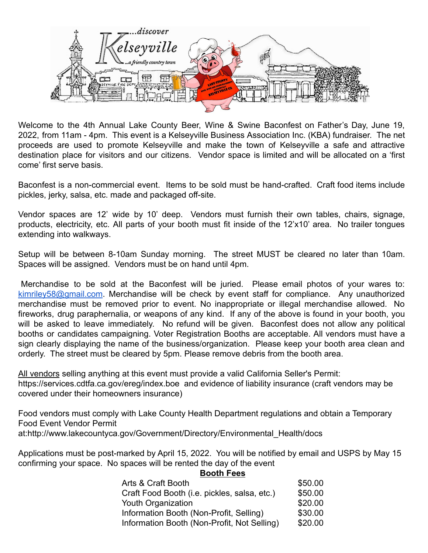

Welcome to the 4th Annual Lake County Beer, Wine & Swine Baconfest on Father's Day, June 19, 2022, from 11am - 4pm. This event is a Kelseyville Business Association Inc. (KBA) fundraiser. The net proceeds are used to promote Kelseyville and make the town of Kelseyville a safe and attractive destination place for visitors and our citizens. Vendor space is limited and will be allocated on a 'first come' first serve basis.

Baconfest is a non-commercial event. Items to be sold must be hand-crafted. Craft food items include pickles, jerky, salsa, etc. made and packaged off-site.

Vendor spaces are 12' wide by 10' deep. Vendors must furnish their own tables, chairs, signage, products, electricity, etc. All parts of your booth must fit inside of the 12'x10' area. No trailer tongues extending into walkways.

Setup will be between 8-10am Sunday morning. The street MUST be cleared no later than 10am. Spaces will be assigned. Vendors must be on hand until 4pm.

Merchandise to be sold at the Baconfest will be juried. Please email photos of your wares to: [kimriley58@gmail.com.](mailto:kimriley58@gmail.com) Merchandise will be check by event staff for compliance. Any unauthorized merchandise must be removed prior to event. No inappropriate or illegal merchandise allowed. No fireworks, drug paraphernalia, or weapons of any kind. If any of the above is found in your booth, you will be asked to leave immediately. No refund will be given. Baconfest does not allow any political booths or candidates campaigning. Voter Registration Booths are acceptable. All vendors must have a sign clearly displaying the name of the business/organization. Please keep your booth area clean and orderly. The street must be cleared by 5pm. Please remove debris from the booth area.

All vendors selling anything at this event must provide a valid California Seller's Permit: https://services.cdtfa.ca.gov/ereg/index.boe and evidence of liability insurance (craft vendors may be covered under their homeowners insurance)

Food vendors must comply with Lake County Health Department regulations and obtain a Temporary Food Event Vendor Permit at[:http://www.lakecountyca.gov/Government/Directory/Environmental\\_Health/docs](http://www.lakecountyca.gov/Government/Directory/Environmental_Health/docs)

Applications must be post-marked by April 15, 2022. You will be notified by email and USPS by May 15 confirming your space. No spaces will be rented the day of the event

| <b>Booth Fees</b> |
|-------------------|
|-------------------|

| Arts & Craft Booth                           | \$50.00 |
|----------------------------------------------|---------|
| Craft Food Booth (i.e. pickles, salsa, etc.) | \$50.00 |
| Youth Organization                           | \$20.00 |
| Information Booth (Non-Profit, Selling)      | \$30.00 |
| Information Booth (Non-Profit, Not Selling)  | \$20.00 |